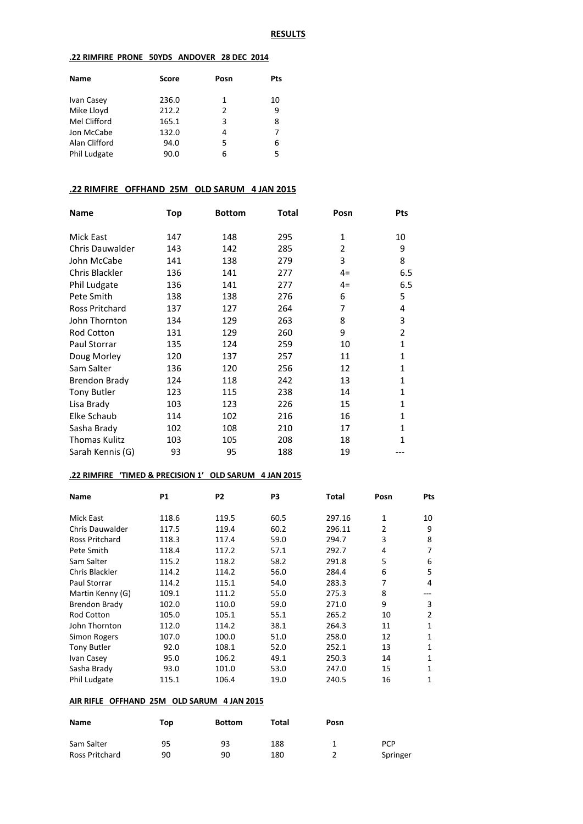#### **RESULTS**

#### **.22 RIMFIRE PRONE 50YDS ANDOVER 28 DEC 2014**

| <b>Name</b>   | <b>Score</b> | Posn | Pts |
|---------------|--------------|------|-----|
| Ivan Casey    | 236.0        | 1    | 10  |
| Mike Lloyd    | 212.2        | 2    | 9   |
| Mel Clifford  | 165.1        | 3    | 8   |
| Jon McCabe    | 132.0        | 4    | 7   |
| Alan Clifford | 94.0         | 5    | 6   |
| Phil Ludgate  | 90.0         | 6    | 5   |
|               |              |      |     |

## **.22 RIMFIRE OFFHAND 25M OLD SARUM 4 JAN 2015**

| <b>Name</b>            | Top | <b>Bottom</b> | <b>Total</b> | Posn         | Pts            |
|------------------------|-----|---------------|--------------|--------------|----------------|
| Mick East              | 147 | 148           | 295          | $\mathbf{1}$ | 10             |
| <b>Chris Dauwalder</b> | 143 | 142           | 285          | 2            | 9              |
| John McCabe            | 141 | 138           | 279          | 3            | 8              |
| Chris Blackler         | 136 | 141           | 277          | $4=$         | 6.5            |
| Phil Ludgate           | 136 | 141           | 277          | $4=$         | 6.5            |
| Pete Smith             | 138 | 138           | 276          | 6            | 5              |
| Ross Pritchard         | 137 | 127           | 264          | 7            | 4              |
| John Thornton          | 134 | 129           | 263          | 8            | 3              |
| <b>Rod Cotton</b>      | 131 | 129           | 260          | 9            | $\overline{2}$ |
| Paul Storrar           | 135 | 124           | 259          | 10           | $\mathbf{1}$   |
| Doug Morley            | 120 | 137           | 257          | 11           | $\mathbf{1}$   |
| Sam Salter             | 136 | 120           | 256          | 12           | $\mathbf{1}$   |
| <b>Brendon Brady</b>   | 124 | 118           | 242          | 13           | 1              |
| <b>Tony Butler</b>     | 123 | 115           | 238          | 14           | $\mathbf{1}$   |
| Lisa Brady             | 103 | 123           | 226          | 15           | $\mathbf{1}$   |
| Elke Schaub            | 114 | 102           | 216          | 16           | $\mathbf{1}$   |
| Sasha Brady            | 102 | 108           | 210          | 17           | $\mathbf{1}$   |
| Thomas Kulitz          | 103 | 105           | 208          | 18           | 1              |
| Sarah Kennis (G)       | 93  | 95            | 188          | 19           |                |

#### **.22 RIMFIRE 'TIMED & PRECISION 1' OLD SARUM 4 JAN 2015**

| <b>Name</b>            | P1    | P <sub>2</sub> | P <sub>3</sub> | Total  | Posn           | Pts |
|------------------------|-------|----------------|----------------|--------|----------------|-----|
|                        |       |                |                |        |                |     |
| Mick East              | 118.6 | 119.5          | 60.5           | 297.16 | 1              | 10  |
| <b>Chris Dauwalder</b> | 117.5 | 119.4          | 60.2           | 296.11 | $\overline{2}$ | 9   |
| Ross Pritchard         | 118.3 | 117.4          | 59.0           | 294.7  | 3              | 8   |
| Pete Smith             | 118.4 | 117.2          | 57.1           | 292.7  | 4              | 7   |
| Sam Salter             | 115.2 | 118.2          | 58.2           | 291.8  | 5              | 6   |
| Chris Blackler         | 114.2 | 114.2          | 56.0           | 284.4  | 6              | 5   |
| <b>Paul Storrar</b>    | 114.2 | 115.1          | 54.0           | 283.3  | 7              | 4   |
| Martin Kenny (G)       | 109.1 | 111.2          | 55.0           | 275.3  | 8              |     |
| Brendon Brady          | 102.0 | 110.0          | 59.0           | 271.0  | 9              | 3   |
| <b>Rod Cotton</b>      | 105.0 | 105.1          | 55.1           | 265.2  | 10             | 2   |
| John Thornton          | 112.0 | 114.2          | 38.1           | 264.3  | 11             | 1   |
| Simon Rogers           | 107.0 | 100.0          | 51.0           | 258.0  | 12             | 1   |
| <b>Tony Butler</b>     | 92.0  | 108.1          | 52.0           | 252.1  | 13             | 1   |
| Ivan Casey             | 95.0  | 106.2          | 49.1           | 250.3  | 14             | 1   |
| Sasha Brady            | 93.0  | 101.0          | 53.0           | 247.0  | 15             | 1   |
| Phil Ludgate           | 115.1 | 106.4          | 19.0           | 240.5  | 16             | 1   |

### **AIR RIFLE OFFHAND 25M OLD SARUM 4 JAN 2015**

| Name           | Top | <b>Bottom</b> | Total | Posn |            |
|----------------|-----|---------------|-------|------|------------|
| Sam Salter     | 95  | 93            | 188   |      | <b>PCP</b> |
| Ross Pritchard | 90  | 90            | 180   |      | Springer   |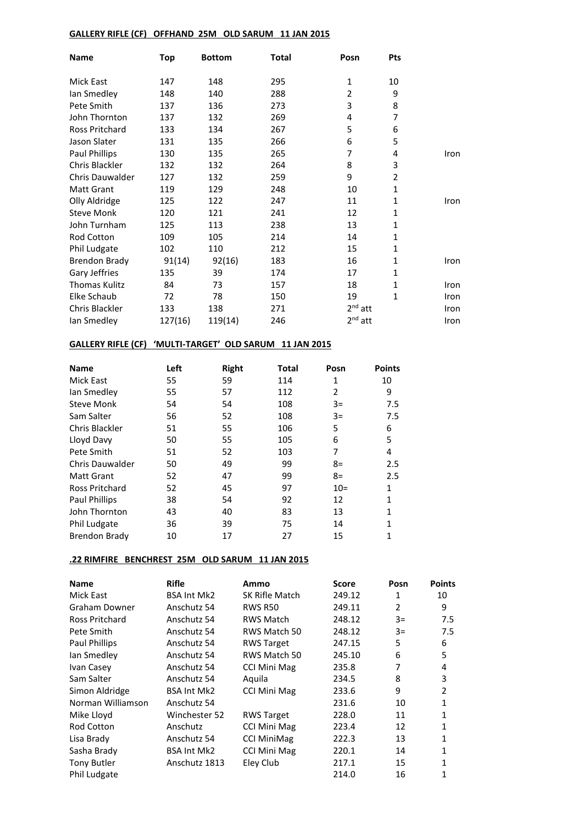## **GALLERY RIFLE (CF) OFFHAND 25M OLD SARUM 11 JAN 2015**

| <b>Name</b>          | Top     | <b>Bottom</b> | Total | Posn           | Pts          |      |
|----------------------|---------|---------------|-------|----------------|--------------|------|
| Mick East            | 147     | 148           | 295   | 1              | 10           |      |
| lan Smedley          | 148     | 140           | 288   | $\overline{2}$ | 9            |      |
| Pete Smith           | 137     | 136           | 273   | 3              | 8            |      |
| John Thornton        | 137     | 132           | 269   | 4              | 7            |      |
| Ross Pritchard       | 133     | 134           | 267   | 5              | 6            |      |
| Jason Slater         | 131     | 135           | 266   | 6              | 5            |      |
| Paul Phillips        | 130     | 135           | 265   | 7              | 4            | Iron |
| Chris Blackler       | 132     | 132           | 264   | 8              | 3            |      |
| Chris Dauwalder      | 127     | 132           | 259   | 9              | 2            |      |
| <b>Matt Grant</b>    | 119     | 129           | 248   | 10             | $\mathbf{1}$ |      |
| Olly Aldridge        | 125     | 122           | 247   | 11             | 1            | Iron |
| <b>Steve Monk</b>    | 120     | 121           | 241   | 12             | $\mathbf{1}$ |      |
| John Turnham         | 125     | 113           | 238   | 13             | $\mathbf{1}$ |      |
| Rod Cotton           | 109     | 105           | 214   | 14             | 1            |      |
| Phil Ludgate         | 102     | 110           | 212   | 15             | 1            |      |
| <b>Brendon Brady</b> | 91(14)  | 92(16)        | 183   | 16             | $\mathbf{1}$ | Iron |
| Gary Jeffries        | 135     | 39            | 174   | 17             | $\mathbf{1}$ |      |
| <b>Thomas Kulitz</b> | 84      | 73            | 157   | 18             | 1            | Iron |
| Elke Schaub          | 72      | 78            | 150   | 19             | 1            | Iron |
| Chris Blackler       | 133     | 138           | 271   | $2nd$ att      |              | Iron |
| lan Smedley          | 127(16) | 119(14)       | 246   | $2nd$ att      |              | Iron |

## **GALLERY RIFLE (CF) 'MULTI-TARGET' OLD SARUM 11 JAN 2015**

| <b>Name</b>           | Left | <b>Right</b> | <b>Total</b> | Posn  | <b>Points</b> |
|-----------------------|------|--------------|--------------|-------|---------------|
| Mick East             | 55   | 59           | 114          | 1     | 10            |
| Ian Smedley           | 55   | 57           | 112          | 2     | 9             |
| <b>Steve Monk</b>     | 54   | 54           | 108          | $3=$  | 7.5           |
| Sam Salter            | 56   | 52           | 108          | $3=$  | 7.5           |
| Chris Blackler        | 51   | 55           | 106          | 5     | 6             |
| Lloyd Davy            | 50   | 55           | 105          | 6     | 5             |
| Pete Smith            | 51   | 52           | 103          | 7     | 4             |
| Chris Dauwalder       | 50   | 49           | 99           | $8=$  | 2.5           |
| <b>Matt Grant</b>     | 52   | 47           | 99           | $8=$  | 2.5           |
| <b>Ross Pritchard</b> | 52   | 45           | 97           | $10=$ | 1             |
| <b>Paul Phillips</b>  | 38   | 54           | 92           | 12    | $\mathbf{1}$  |
| John Thornton         | 43   | 40           | 83           | 13    | 1             |
| Phil Ludgate          | 36   | 39           | 75           | 14    | 1             |
| <b>Brendon Brady</b>  | 10   | 17           | 27           | 15    |               |

## **.22 RIMFIRE BENCHREST 25M OLD SARUM 11 JAN 2015**

| <b>Name</b>        | <b>Rifle</b>       | Ammo                | <b>Score</b> | Posn           | <b>Points</b> |
|--------------------|--------------------|---------------------|--------------|----------------|---------------|
| Mick East          | <b>BSA Int Mk2</b> | SK Rifle Match      | 249.12       | 1              | 10            |
| Graham Downer      | Anschutz 54        | <b>RWS R50</b>      | 249.11       | $\overline{2}$ | 9             |
| Ross Pritchard     | Anschutz 54        | RWS Match           | 248.12       | $3=$           | 7.5           |
| Pete Smith         | Anschutz 54        | RWS Match 50        | 248.12       | $3=$           | 7.5           |
| Paul Phillips      | Anschutz 54        | <b>RWS Target</b>   | 247.15       | 5              | 6             |
| lan Smedley        | Anschutz 54        | RWS Match 50        | 245.10       | 6              | 5             |
| Ivan Casey         | Anschutz 54        | <b>CCI Mini Mag</b> | 235.8        | 7              | 4             |
| Sam Salter         | Anschutz 54        | Aquila              | 234.5        | 8              | 3             |
| Simon Aldridge     | <b>BSA Int Mk2</b> | <b>CCI Mini Mag</b> | 233.6        | 9              | 2             |
| Norman Williamson  | Anschutz 54        |                     | 231.6        | 10             | $\mathbf{1}$  |
| Mike Lloyd         | Winchester 52      | <b>RWS Target</b>   | 228.0        | 11             | 1             |
| <b>Rod Cotton</b>  | Anschutz           | CCI Mini Mag        | 223.4        | 12             | $\mathbf{1}$  |
| Lisa Brady         | Anschutz 54        | <b>CCI MiniMag</b>  | 222.3        | 13             | 1             |
| Sasha Brady        | <b>BSA Int Mk2</b> | <b>CCI Mini Mag</b> | 220.1        | 14             | 1             |
| <b>Tony Butler</b> | Anschutz 1813      | Eley Club           | 217.1        | 15             | 1             |
| Phil Ludgate       |                    |                     | 214.0        | 16             | 1             |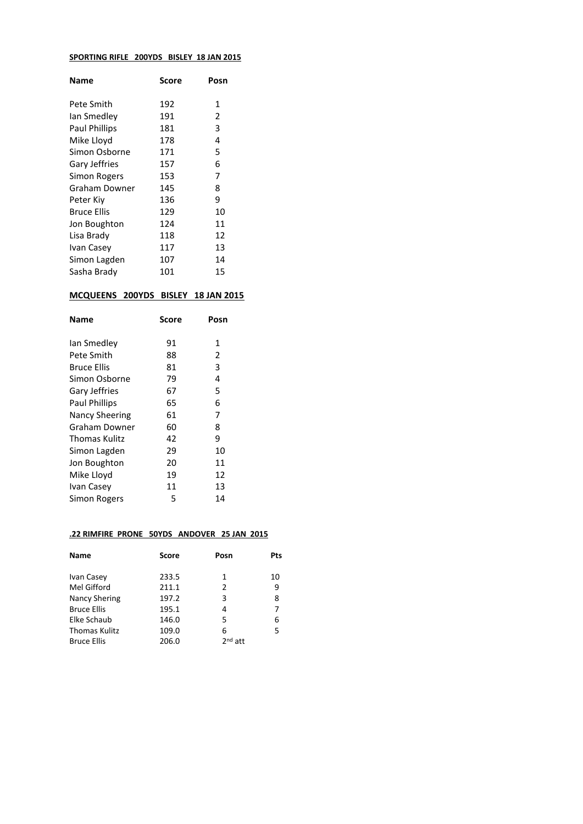#### **SPORTING RIFLE 200YDS BISLEY 18 JAN 2015**

| Name                 | Score | Posn |
|----------------------|-------|------|
| Pete Smith           | 192   | 1    |
| lan Smedley          | 191   | 2    |
| <b>Paul Phillips</b> | 181   | 3    |
| Mike Lloyd           | 178   | 4    |
| Simon Osborne        | 171   | 5    |
| Gary Jeffries        | 157   | 6    |
| Simon Rogers         | 153   | 7    |
| Graham Downer        | 145   | 8    |
| Peter Kiy            | 136   | 9    |
| Bruce Ellis          | 129   | 10   |
| Jon Boughton         | 124   | 11   |
| Lisa Brady           | 118   | 12   |
| Ivan Casey           | 117   | 13   |
| Simon Lagden         | 107   | 14   |
| Sasha Brady          | 101   | 15   |

## **MCQUEENS 200YDS BISLEY 18 JAN 2015**

| Name                  | Score | Posn |
|-----------------------|-------|------|
|                       |       |      |
| lan Smedley           | 91    | 1    |
| Pete Smith            | 88    | 2    |
| Bruce Ellis           | 81    | 3    |
| Simon Osborne         | 79    | 4    |
| Gary Jeffries         | 67    | 5    |
| <b>Paul Phillips</b>  | 65    | 6    |
| <b>Nancy Sheering</b> | 61    | 7    |
| Graham Downer         | 60    | 8    |
| <b>Thomas Kulitz</b>  | 42    | 9    |
| Simon Lagden          | 29    | 10   |
| Jon Boughton          | 20    | 11   |
| Mike Lloyd            | 19    | 12   |
| Ivan Casey            | 11    | 13   |
| Simon Rogers          | 5     | 14   |
|                       |       |      |

### **.22 RIMFIRE PRONE 50YDS ANDOVER 25 JAN 2015**

| <b>Score</b> | Posn      | Pts |
|--------------|-----------|-----|
| 233.5        | 1         | 10  |
| 211.1        | 2         | 9   |
| 197.2        | 3         | 8   |
| 195.1        | 4         | 7   |
| 146.0        | 5         | 6   |
| 109.0        | 6         | 5   |
| 206.0        | $2nd$ att |     |
|              |           |     |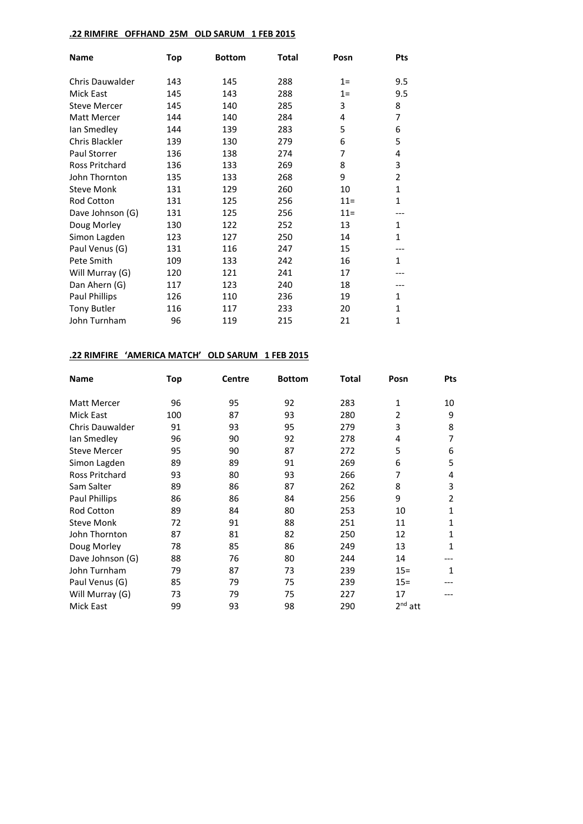## **.22 RIMFIRE OFFHAND 25M OLD SARUM 1 FEB 2015**

| <b>Name</b>            | <b>Top</b> | <b>Bottom</b> | <b>Total</b> | Posn   | <b>Pts</b>     |
|------------------------|------------|---------------|--------------|--------|----------------|
| <b>Chris Dauwalder</b> | 143        | 145           | 288          | $1=$   | 9.5            |
| Mick East              | 145        | 143           | 288          | $1=$   | 9.5            |
| <b>Steve Mercer</b>    | 145        | 140           | 285          | 3      | 8              |
| Matt Mercer            | 144        | 140           | 284          | 4      | 7              |
| lan Smedley            | 144        | 139           | 283          | 5      | 6              |
| Chris Blackler         | 139        | 130           | 279          | 6      | 5              |
| Paul Storrer           | 136        | 138           | 274          | 7      | 4              |
| <b>Ross Pritchard</b>  | 136        | 133           | 269          | 8      | 3              |
| John Thornton          | 135        | 133           | 268          | 9      | $\overline{2}$ |
| <b>Steve Monk</b>      | 131        | 129           | 260          | 10     | 1              |
| Rod Cotton             | 131        | 125           | 256          | $11 =$ | $\mathbf{1}$   |
| Dave Johnson (G)       | 131        | 125           | 256          | $11 =$ |                |
| Doug Morley            | 130        | 122           | 252          | 13     | 1              |
| Simon Lagden           | 123        | 127           | 250          | 14     | $\mathbf{1}$   |
| Paul Venus (G)         | 131        | 116           | 247          | 15     |                |
| Pete Smith             | 109        | 133           | 242          | 16     | $\mathbf{1}$   |
| Will Murray (G)        | 120        | 121           | 241          | 17     |                |
| Dan Ahern (G)          | 117        | 123           | 240          | 18     |                |
| Paul Phillips          | 126        | 110           | 236          | 19     | 1              |
| <b>Tony Butler</b>     | 116        | 117           | 233          | 20     | 1              |
| John Turnham           | 96         | 119           | 215          | 21     | $\mathbf{1}$   |

### **.22 RIMFIRE 'AMERICA MATCH' OLD SARUM 1 FEB 2015**

| <b>Name</b>            | Top | <b>Centre</b> | <b>Bottom</b> | Total | Posn           | <b>Pts</b>   |
|------------------------|-----|---------------|---------------|-------|----------------|--------------|
| Matt Mercer            | 96  | 95            | 92            | 283   | 1              | 10           |
| Mick East              | 100 | 87            | 93            | 280   | $\overline{2}$ | 9            |
| <b>Chris Dauwalder</b> | 91  | 93            | 95            | 279   | 3              | 8            |
| lan Smedley            | 96  | 90            | 92            | 278   | 4              | 7            |
| <b>Steve Mercer</b>    | 95  | 90            | 87            | 272   | 5              | 6            |
| Simon Lagden           | 89  | 89            | 91            | 269   | 6              | 5            |
| <b>Ross Pritchard</b>  | 93  | 80            | 93            | 266   | 7              | 4            |
| Sam Salter             | 89  | 86            | 87            | 262   | 8              | 3            |
| <b>Paul Phillips</b>   | 86  | 86            | 84            | 256   | 9              | 2            |
| <b>Rod Cotton</b>      | 89  | 84            | 80            | 253   | 10             | 1            |
| <b>Steve Monk</b>      | 72  | 91            | 88            | 251   | 11             | $\mathbf{1}$ |
| John Thornton          | 87  | 81            | 82            | 250   | 12             | 1            |
| Doug Morley            | 78  | 85            | 86            | 249   | 13             | $\mathbf{1}$ |
| Dave Johnson (G)       | 88  | 76            | 80            | 244   | 14             |              |
| John Turnham           | 79  | 87            | 73            | 239   | $15 =$         | 1            |
| Paul Venus (G)         | 85  | 79            | 75            | 239   | $15 =$         |              |
| Will Murray (G)        | 73  | 79            | 75            | 227   | 17             |              |
| Mick East              | 99  | 93            | 98            | 290   | $2nd$ att      |              |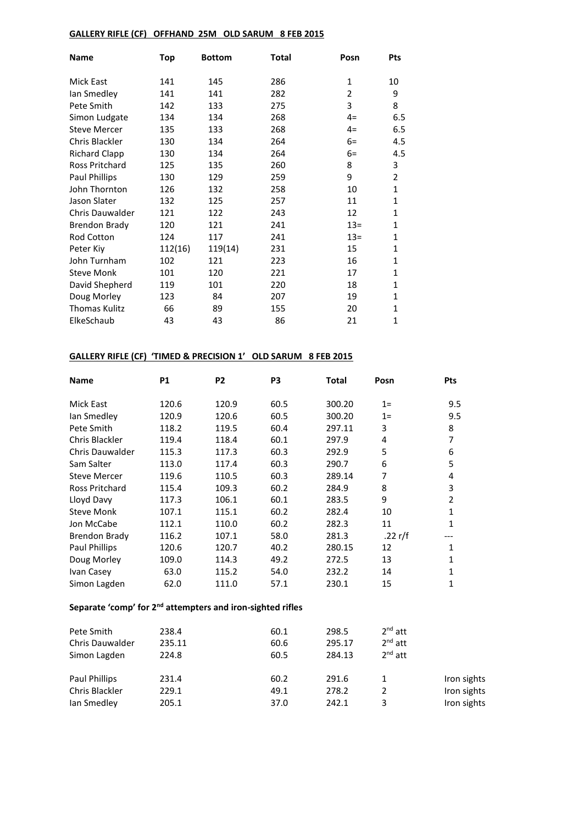## **GALLERY RIFLE (CF) OFFHAND 25M OLD SARUM 8 FEB 2015**

| <b>Name</b>            | Top     | <b>Bottom</b> | <b>Total</b> | Posn           | Pts          |
|------------------------|---------|---------------|--------------|----------------|--------------|
| Mick East              | 141     | 145           | 286          | $\mathbf{1}$   | 10           |
| lan Smedley            | 141     | 141           | 282          | $\overline{2}$ | 9            |
| Pete Smith             | 142     | 133           | 275          | 3              | 8            |
| Simon Ludgate          | 134     | 134           | 268          | $4=$           | 6.5          |
| <b>Steve Mercer</b>    | 135     | 133           | 268          | $4=$           | 6.5          |
| Chris Blackler         | 130     | 134           | 264          | $6=$           | 4.5          |
| <b>Richard Clapp</b>   | 130     | 134           | 264          | $6=$           | 4.5          |
| Ross Pritchard         | 125     | 135           | 260          | 8              | 3            |
| Paul Phillips          | 130     | 129           | 259          | 9              | 2            |
| John Thornton          | 126     | 132           | 258          | 10             | $\mathbf{1}$ |
| Jason Slater           | 132     | 125           | 257          | 11             | $\mathbf{1}$ |
| <b>Chris Dauwalder</b> | 121     | 122           | 243          | 12             | $\mathbf{1}$ |
| <b>Brendon Brady</b>   | 120     | 121           | 241          | $13=$          | $\mathbf{1}$ |
| Rod Cotton             | 124     | 117           | 241          | $13 =$         | 1            |
| Peter Kiy              | 112(16) | 119(14)       | 231          | 15             | $\mathbf{1}$ |
| John Turnham           | 102     | 121           | 223          | 16             | 1            |
| <b>Steve Monk</b>      | 101     | 120           | 221          | 17             | $\mathbf{1}$ |
| David Shepherd         | 119     | 101           | 220          | 18             | $\mathbf{1}$ |
| Doug Morley            | 123     | 84            | 207          | 19             | $\mathbf{1}$ |
| <b>Thomas Kulitz</b>   | 66      | 89            | 155          | 20             | $\mathbf{1}$ |
| ElkeSchaub             | 43      | 43            | 86           | 21             | $\mathbf 1$  |

## **GALLERY RIFLE (CF) 'TIMED & PRECISION 1' OLD SARUM 8 FEB 2015**

| <b>Name</b>            | <b>P1</b> | P <sub>2</sub> | P <sub>3</sub> | <b>Total</b> | Posn    | Pts          |
|------------------------|-----------|----------------|----------------|--------------|---------|--------------|
| Mick East              | 120.6     | 120.9          | 60.5           | 300.20       | $1=$    | 9.5          |
| lan Smedley            | 120.9     | 120.6          | 60.5           | 300.20       | $1=$    | 9.5          |
| Pete Smith             | 118.2     | 119.5          | 60.4           | 297.11       | 3       | 8            |
| Chris Blackler         | 119.4     | 118.4          | 60.1           | 297.9        | 4       | 7            |
| <b>Chris Dauwalder</b> | 115.3     | 117.3          | 60.3           | 292.9        | 5       | 6            |
| Sam Salter             | 113.0     | 117.4          | 60.3           | 290.7        | 6       | 5            |
| <b>Steve Mercer</b>    | 119.6     | 110.5          | 60.3           | 289.14       | 7       | 4            |
| Ross Pritchard         | 115.4     | 109.3          | 60.2           | 284.9        | 8       | 3            |
| Lloyd Davy             | 117.3     | 106.1          | 60.1           | 283.5        | 9       | 2            |
| <b>Steve Monk</b>      | 107.1     | 115.1          | 60.2           | 282.4        | 10      | 1            |
| Jon McCabe             | 112.1     | 110.0          | 60.2           | 282.3        | 11      | 1            |
| <b>Brendon Brady</b>   | 116.2     | 107.1          | 58.0           | 281.3        | .22 r/f |              |
| <b>Paul Phillips</b>   | 120.6     | 120.7          | 40.2           | 280.15       | 12      | 1            |
| Doug Morley            | 109.0     | 114.3          | 49.2           | 272.5        | 13      | $\mathbf{1}$ |
| Ivan Casey             | 63.0      | 115.2          | 54.0           | 232.2        | 14      | 1            |
| Simon Lagden           | 62.0      | 111.0          | 57.1           | 230.1        | 15      | 1            |

# **Separate 'comp' for 2nd attempters and iron-sighted rifles**

| Pete Smith      | 238.4  | 60.1 | 298.5  | $2nd$ att    |             |
|-----------------|--------|------|--------|--------------|-------------|
| Chris Dauwalder | 235.11 | 60.6 | 295.17 | $2nd$ att    |             |
| Simon Lagden    | 224.8  | 60.5 | 284.13 | $2^{nd}$ att |             |
| Paul Phillips   | 231.4  | 60.2 | 291.6  | 1            | Iron sights |
| Chris Blackler  | 229.1  | 49.1 | 278.2  |              | Iron sights |
| lan Smedley     | 205.1  | 37.0 | 242.1  | 3            | Iron sights |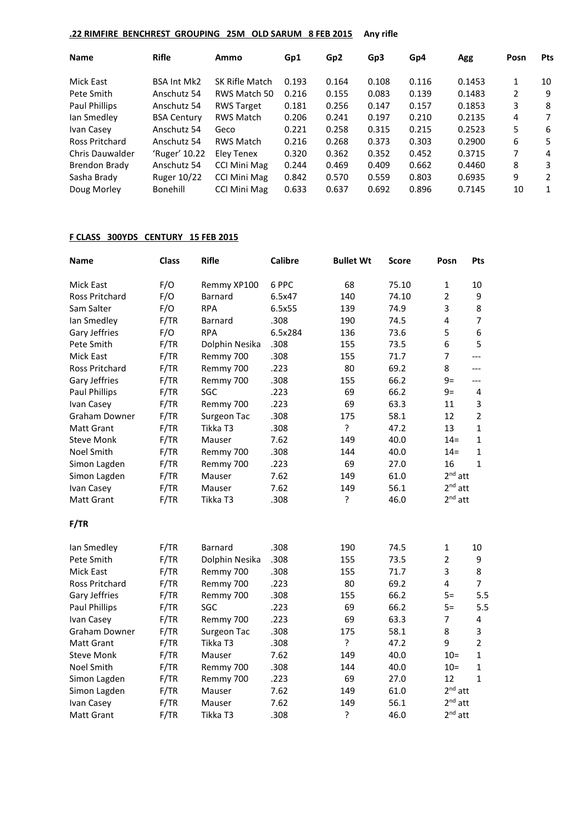## **.22 RIMFIRE BENCHREST GROUPING 25M OLD SARUM 8 FEB 2015 Any rifle**

| <b>Pts</b>   |
|--------------|
| 10           |
| 9            |
| 8            |
| 7            |
| 6            |
| 5            |
| 4            |
| 3            |
| 2            |
| $\mathbf{1}$ |
|              |

## **F CLASS 300YDS CENTURY 15 FEB 2015**

| <b>Name</b>           | <b>Class</b> | <b>Rifle</b>   | <b>Calibre</b> | <b>Bullet Wt</b> | <b>Score</b> | Posn           | Pts            |
|-----------------------|--------------|----------------|----------------|------------------|--------------|----------------|----------------|
| Mick East             | F/O          | Remmy XP100    | 6 PPC          | 68               | 75.10        | $\mathbf{1}$   | 10             |
| Ross Pritchard        | F/O          | <b>Barnard</b> | 6.5x47         | 140              | 74.10        | $\overline{2}$ | 9              |
| Sam Salter            | F/O          | <b>RPA</b>     | 6.5x55         | 139              | 74.9         | 3              | 8              |
| Ian Smedley           | F/TR         | Barnard        | .308           | 190              | 74.5         | 4              | 7              |
| Gary Jeffries         | F/O          | <b>RPA</b>     | 6.5x284        | 136              | 73.6         | 5              | 6              |
| Pete Smith            | F/TR         | Dolphin Nesika | .308           | 155              | 73.5         | 6              | 5              |
| Mick East             | F/TR         | Remmy 700      | .308           | 155              | 71.7         | 7              | $---$          |
| <b>Ross Pritchard</b> | F/TR         | Remmy 700      | .223           | 80               | 69.2         | 8              | $---$          |
| Gary Jeffries         | F/TR         | Remmy 700      | .308           | 155              | 66.2         | $9=$           | $---$          |
| Paul Phillips         | F/TR         | SGC            | .223           | 69               | 66.2         | $9=$           | $\overline{4}$ |
| Ivan Casey            | F/TR         | Remmy 700      | .223           | 69               | 63.3         | 11             | 3              |
| Graham Downer         | F/TR         | Surgeon Tac    | .308           | 175              | 58.1         | 12             | $\overline{2}$ |
| <b>Matt Grant</b>     | F/TR         | Tikka T3       | .308           | ?                | 47.2         | 13             | $\mathbf{1}$   |
| <b>Steve Monk</b>     | F/TR         | Mauser         | 7.62           | 149              | 40.0         | $14 =$         | 1              |
| Noel Smith            | F/TR         | Remmy 700      | .308           | 144              | 40.0         | $14 =$         | 1              |
| Simon Lagden          | F/TR         | Remmy 700      | .223           | 69               | 27.0         | 16             | $\mathbf{1}$   |
| Simon Lagden          | F/TR         | Mauser         | 7.62           | 149              | 61.0         | $2nd$ att      |                |
| Ivan Casey            | F/TR         | Mauser         | 7.62           | 149              | 56.1         | $2nd$ att      |                |
| <b>Matt Grant</b>     | F/TR         | Tikka T3       | .308           | ?                | 46.0         | $2nd$ att      |                |
| F/TR                  |              |                |                |                  |              |                |                |
| Ian Smedley           | F/TR         | Barnard        | .308           | 190              | 74.5         | $\mathbf{1}$   | 10             |
| Pete Smith            | F/TR         | Dolphin Nesika | .308           | 155              | 73.5         | $\overline{2}$ | 9              |
| Mick East             | F/TR         | Remmy 700      | .308           | 155              | 71.7         | 3              | 8              |
| Ross Pritchard        | F/TR         | Remmy 700      | .223           | 80               | 69.2         | 4              | $\overline{7}$ |
| Gary Jeffries         | F/TR         | Remmy 700      | .308           | 155              | 66.2         | $5=$           | 5.5            |
| <b>Paul Phillips</b>  | F/TR         | SGC            | .223           | 69               | 66.2         | $5=$           | 5.5            |
| Ivan Casey            | F/TR         | Remmy 700      | .223           | 69               | 63.3         | $\overline{7}$ | 4              |
| <b>Graham Downer</b>  | F/TR         | Surgeon Tac    | .308           | 175              | 58.1         | 8              | 3              |
| <b>Matt Grant</b>     | F/TR         | Tikka T3       | .308           | ŗ                | 47.2         | 9              | $\overline{2}$ |
| <b>Steve Monk</b>     | F/TR         | Mauser         | 7.62           | 149              | 40.0         | $10=$          | $\mathbf{1}$   |
| Noel Smith            | F/TR         | Remmy 700      | .308           | 144              | 40.0         | $10=$          | $\mathbf{1}$   |
| Simon Lagden          | F/TR         | Remmy 700      | .223           | 69               | 27.0         | 12             | $\mathbf{1}$   |
| Simon Lagden          | F/TR         | Mauser         | 7.62           | 149              | 61.0         | $2nd$ att      |                |
| Ivan Casey            | F/TR         | Mauser         | 7.62           | 149              | 56.1         | $2nd$ att      |                |
| <b>Matt Grant</b>     | F/TR         | Tikka T3       | .308           | $\overline{?}$   | 46.0         | $2nd$ att      |                |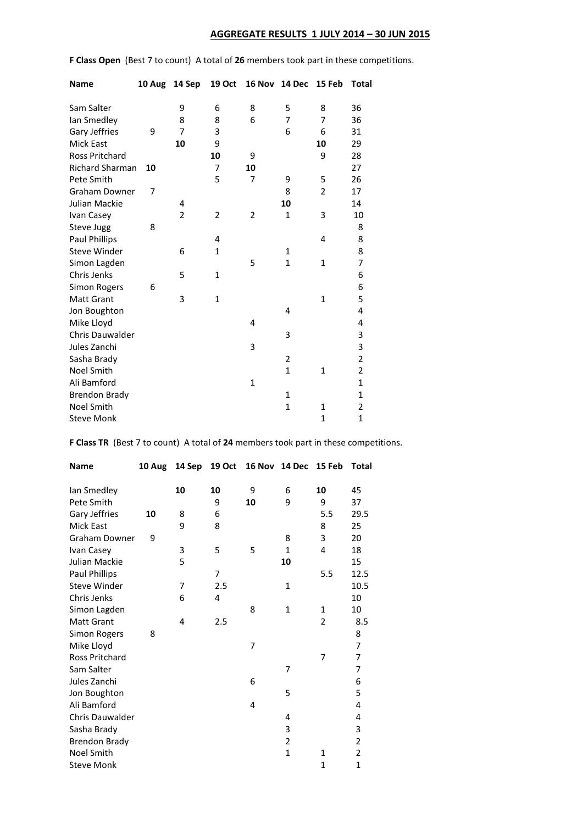## **AGGREGATE RESULTS 1 JULY 2014 – 30 JUN 2015**

**F Class Open** (Best 7 to count) A total of **26** members took part in these competitions.

| <b>Name</b>            | 10 Aug | 14 Sep         | <b>19 Oct</b>  |              | 16 Nov 14 Dec | 15 Feb         | Total                   |
|------------------------|--------|----------------|----------------|--------------|---------------|----------------|-------------------------|
| Sam Salter             |        | 9              | 6              | 8            | 5             | 8              | 36                      |
| lan Smedley            |        | 8              | 8              | 6            | 7             | 7              | 36                      |
| Gary Jeffries          | 9      | $\overline{7}$ | 3              |              | 6             | 6              | 31                      |
| <b>Mick East</b>       |        | 10             | 9              |              |               | 10             | 29                      |
| <b>Ross Pritchard</b>  |        |                | 10             | 9            |               | 9              | 28                      |
| <b>Richard Sharman</b> | 10     |                | $\overline{7}$ | 10           |               |                | 27                      |
| Pete Smith             |        |                | 5              | 7            | 9             | 5              | 26                      |
| <b>Graham Downer</b>   | 7      |                |                |              | 8             | $\overline{2}$ | 17                      |
| Julian Mackie          |        | 4              |                |              | 10            |                | 14                      |
| Ivan Casey             |        | 2              | 2              | 2            | 1             | 3              | 10                      |
| Steve Jugg             | 8      |                |                |              |               |                | 8                       |
| <b>Paul Phillips</b>   |        |                | 4              |              |               | 4              | 8                       |
| <b>Steve Winder</b>    |        | 6              | $\mathbf{1}$   |              | 1             |                | 8                       |
| Simon Lagden           |        |                |                | 5            | $\mathbf{1}$  | $\mathbf{1}$   | 7                       |
| Chris Jenks            |        | 5              | 1              |              |               |                | 6                       |
| <b>Simon Rogers</b>    | 6      |                |                |              |               |                | 6                       |
| <b>Matt Grant</b>      |        | 3              | $\mathbf{1}$   |              |               | $\mathbf{1}$   | 5                       |
| Jon Boughton           |        |                |                |              | 4             |                | 4                       |
| Mike Lloyd             |        |                |                | 4            |               |                | 4                       |
| <b>Chris Dauwalder</b> |        |                |                |              | 3             |                | 3                       |
| Jules Zanchi           |        |                |                | 3            |               |                | $\overline{\mathbf{3}}$ |
| Sasha Brady            |        |                |                |              | 2             |                | $\overline{c}$          |
| <b>Noel Smith</b>      |        |                |                |              | $\mathbf{1}$  | 1              | $\overline{c}$          |
| Ali Bamford            |        |                |                | $\mathbf{1}$ |               |                | $\mathbf{1}$            |
| <b>Brendon Brady</b>   |        |                |                |              | 1             |                | $\mathbf 1$             |
| <b>Noel Smith</b>      |        |                |                |              | $\mathbf{1}$  | 1              | $\overline{c}$          |
| <b>Steve Monk</b>      |        |                |                |              |               | $\overline{1}$ | $\mathbf{1}$            |

**F Class TR** (Best 7 to count) A total of **24** members took part in these competitions.

| <b>Name</b>            | 10 Aug | 14 Sep | <b>19 Oct</b> | 16 Nov         | 14 Dec         | 15 Feb         | Total          |
|------------------------|--------|--------|---------------|----------------|----------------|----------------|----------------|
|                        |        | 10     | 10            | 9              | 6              | 10             | 45             |
| lan Smedley            |        |        |               |                |                |                |                |
| Pete Smith             |        |        | 9             | 10             | 9              | 9              | 37             |
| Gary Jeffries          | 10     | 8      | 6             |                |                | 5.5            | 29.5           |
| <b>Mick East</b>       |        | 9      | 8             |                |                | 8              | 25             |
| <b>Graham Downer</b>   | 9      |        |               |                | 8              | 3              | 20             |
| Ivan Casey             |        | 3      | 5             | 5              | $\mathbf{1}$   | 4              | 18             |
| Julian Mackie          |        | 5      |               |                | 10             |                | 15             |
| Paul Phillips          |        |        | 7             |                |                | 5.5            | 12.5           |
| <b>Steve Winder</b>    |        | 7      | 2.5           |                | $\mathbf{1}$   |                | 10.5           |
| Chris Jenks            |        | 6      | 4             |                |                |                | 10             |
| Simon Lagden           |        |        |               | 8              | $\mathbf{1}$   | $\mathbf{1}$   | 10             |
| <b>Matt Grant</b>      |        | 4      | 2.5           |                |                | $\overline{2}$ | 8.5            |
| <b>Simon Rogers</b>    | 8      |        |               |                |                |                | 8              |
| Mike Lloyd             |        |        |               | $\overline{7}$ |                |                | 7              |
| <b>Ross Pritchard</b>  |        |        |               |                |                | 7              | 7              |
| Sam Salter             |        |        |               |                | 7              |                | 7              |
| Jules Zanchi           |        |        |               | 6              |                |                | 6              |
| Jon Boughton           |        |        |               |                | 5              |                | 5              |
| Ali Bamford            |        |        |               | 4              |                |                | 4              |
| <b>Chris Dauwalder</b> |        |        |               |                | 4              |                | 4              |
| Sasha Brady            |        |        |               |                | 3              |                | 3              |
| <b>Brendon Brady</b>   |        |        |               |                | $\overline{2}$ |                | $\overline{2}$ |
| Noel Smith             |        |        |               |                | $\mathbf{1}$   | $\mathbf{1}$   | $\overline{2}$ |
| <b>Steve Monk</b>      |        |        |               |                |                | 1              | 1              |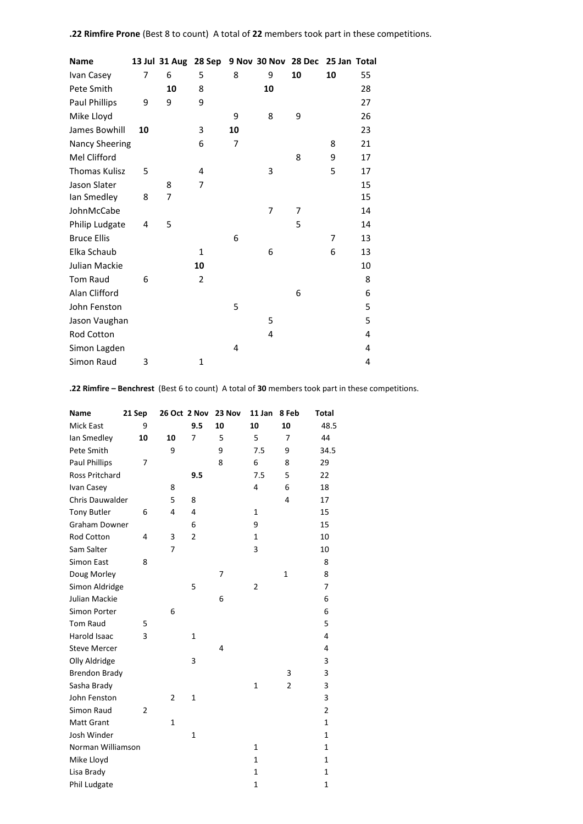| Name                  |    |    |    |    | 13 Jul 31 Aug 28 Sep 9 Nov 30 Nov 28 Dec |    | 25 Jan Total |    |
|-----------------------|----|----|----|----|------------------------------------------|----|--------------|----|
| Ivan Casey            | 7  | 6  | 5  | 8  | 9                                        | 10 | 10           | 55 |
| Pete Smith            |    | 10 | 8  |    | 10                                       |    |              | 28 |
| Paul Phillips         | 9  | 9  | 9  |    |                                          |    |              | 27 |
| Mike Lloyd            |    |    |    | 9  | 8                                        | 9  |              | 26 |
| James Bowhill         | 10 |    | 3  | 10 |                                          |    |              | 23 |
| <b>Nancy Sheering</b> |    |    | 6  | 7  |                                          |    | 8            | 21 |
| Mel Clifford          |    |    |    |    |                                          | 8  | 9            | 17 |
| <b>Thomas Kulisz</b>  | 5  |    | 4  |    | 3                                        |    | 5            | 17 |
| Jason Slater          |    | 8  | 7  |    |                                          |    |              | 15 |
| Ian Smedley           | 8  | 7  |    |    |                                          |    |              | 15 |
| JohnMcCabe            |    |    |    |    | $\overline{7}$                           | 7  |              | 14 |
| Philip Ludgate        | 4  | 5  |    |    |                                          | 5  |              | 14 |
| <b>Bruce Ellis</b>    |    |    |    | 6  |                                          |    | 7            | 13 |
| Elka Schaub           |    |    | 1  |    | 6                                        |    | 6            | 13 |
| Julian Mackie         |    |    | 10 |    |                                          |    |              | 10 |
| <b>Tom Raud</b>       | 6  |    | 2  |    |                                          |    |              | 8  |
| Alan Clifford         |    |    |    |    |                                          | 6  |              | 6  |
| John Fenston          |    |    |    | 5  |                                          |    |              | 5  |
| Jason Vaughan         |    |    |    |    | 5                                        |    |              | 5  |
| Rod Cotton            |    |    |    |    | 4                                        |    |              | 4  |
| Simon Lagden          |    |    |    | 4  |                                          |    |              | 4  |
| Simon Raud            | 3  |    | 1  |    |                                          |    |              | 4  |
|                       |    |    |    |    |                                          |    |              |    |

**.22 Rimfire – Benchrest** (Best 6 to count) A total of **30** members took part in these competitions.

| <b>Name</b>            | 21 Sep         |                | 26 Oct 2 Nov   | 23 Nov | 11 Jan         | 8 Feb          | Total        |
|------------------------|----------------|----------------|----------------|--------|----------------|----------------|--------------|
| <b>Mick East</b>       | 9              |                | 9.5            | 10     | 10             | 10             | 48.5         |
| lan Smedley            | 10             | 10             | 7              | 5      | 5              | 7              | 44           |
| Pete Smith             |                | 9              |                | 9      | 7.5            | 9              | 34.5         |
| <b>Paul Phillips</b>   | 7              |                |                | 8      | 6              | 8              | 29           |
| Ross Pritchard         |                |                | 9.5            |        | 7.5            | 5              | 22           |
| Ivan Casey             |                | 8              |                |        | 4              | 6              | 18           |
| <b>Chris Dauwalder</b> |                | 5              | 8              |        |                | 4              | 17           |
| <b>Tony Butler</b>     | 6              | 4              | 4              |        | $\mathbf{1}$   |                | 15           |
| <b>Graham Downer</b>   |                |                | 6              |        | 9              |                | 15           |
| <b>Rod Cotton</b>      | 4              | 3              | $\overline{2}$ |        | 1              |                | 10           |
| Sam Salter             |                | $\overline{7}$ |                |        | 3              |                | 10           |
| <b>Simon East</b>      | 8              |                |                |        |                |                | 8            |
| Doug Morley            |                |                |                | 7      |                | $\mathbf{1}$   | 8            |
| Simon Aldridge         |                |                | 5              |        | $\overline{2}$ |                | 7            |
| Julian Mackie          |                |                |                | 6      |                |                | 6            |
| Simon Porter           |                | 6              |                |        |                |                | 6            |
| Tom Raud               | 5              |                |                |        |                |                | 5            |
| <b>Harold Isaac</b>    | 3              |                | $\mathbf{1}$   |        |                |                | 4            |
| <b>Steve Mercer</b>    |                |                |                | 4      |                |                | 4            |
| Olly Aldridge          |                |                | 3              |        |                |                | 3            |
| <b>Brendon Brady</b>   |                |                |                |        |                | 3              | 3            |
| Sasha Brady            |                |                |                |        | $\mathbf{1}$   | $\overline{2}$ | 3            |
| John Fenston           |                | 2              | 1              |        |                |                | 3            |
| Simon Raud             | $\overline{2}$ |                |                |        |                |                | 2            |
| <b>Matt Grant</b>      |                | $\mathbf{1}$   |                |        |                |                | 1            |
| Josh Winder            |                |                | 1              |        |                |                | 1            |
| Norman Williamson      |                |                |                |        | $\mathbf{1}$   |                | 1            |
| Mike Lloyd             |                |                |                |        | $\mathbf{1}$   |                | $\mathbf{1}$ |
| Lisa Brady             |                |                |                |        | $\mathbf{1}$   |                | 1            |
| Phil Ludgate           |                |                |                |        | 1              |                | 1            |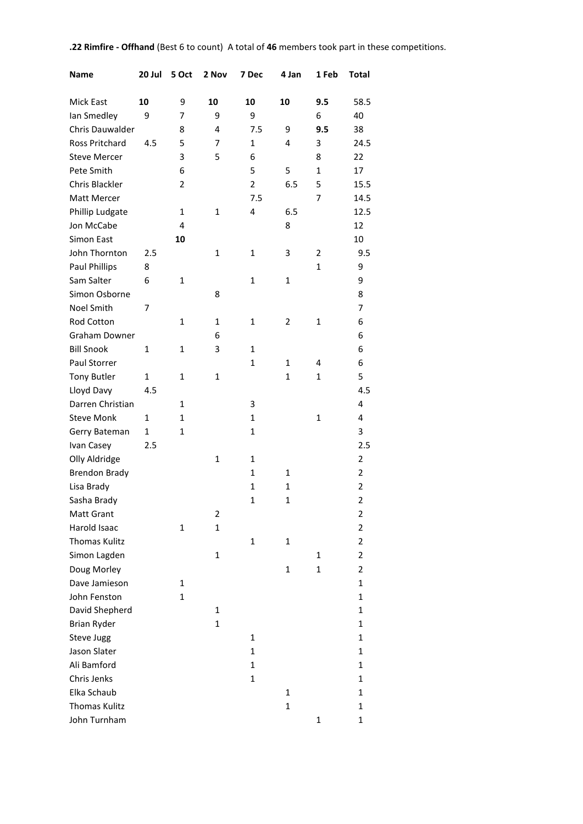# **.22 Rimfire - Offhand** (Best 6 to count) A total of **46** members took part in these competitions.

| <b>Name</b>           | 20 Jul       | 5 Oct          | 2 Nov        | 7 Dec        | 4 Jan          | 1 Feb        | <b>Total</b>   |
|-----------------------|--------------|----------------|--------------|--------------|----------------|--------------|----------------|
| Mick East             | 10           | 9              | 10           | 10           | 10             | 9.5          | 58.5           |
| lan Smedley           | 9            | 7              | 9            | 9            |                | 6            | 40             |
| Chris Dauwalder       |              | 8              | 4            | 7.5          | 9              | 9.5          | 38             |
| <b>Ross Pritchard</b> | 4.5          | 5              | 7            | $\mathbf{1}$ | 4              | 3            | 24.5           |
| <b>Steve Mercer</b>   |              | 3              | 5            | 6            |                | 8            | 22             |
| Pete Smith            |              | 6              |              | 5            | 5              | $\mathbf{1}$ | 17             |
| Chris Blackler        |              | $\overline{2}$ |              | 2            | 6.5            | 5            | 15.5           |
| Matt Mercer           |              |                |              | 7.5          |                | 7            | 14.5           |
| Phillip Ludgate       |              | 1              | 1            | 4            | 6.5            |              | 12.5           |
| Jon McCabe            |              | 4              |              |              | 8              |              | 12             |
| Simon East            |              | 10             |              |              |                |              | 10             |
| John Thornton         | 2.5          |                | 1            | 1            | 3              | 2            | 9.5            |
| <b>Paul Phillips</b>  | 8            |                |              |              |                | $\mathbf{1}$ | 9              |
| Sam Salter            | 6            | 1              |              | 1            | 1              |              | 9              |
| Simon Osborne         |              |                | 8            |              |                |              | 8              |
| Noel Smith            | 7            |                |              |              |                |              | 7              |
| Rod Cotton            |              | $\mathbf{1}$   | $\mathbf{1}$ | $\mathbf{1}$ | $\overline{2}$ | $\mathbf{1}$ | 6              |
|                       |              |                |              |              |                |              |                |
| Graham Downer         |              |                | 6            |              |                |              | 6              |
| <b>Bill Snook</b>     | $\mathbf{1}$ | 1              | 3            | 1            |                |              | 6              |
| Paul Storrer          |              |                |              | $\mathbf{1}$ | 1              | 4            | 6              |
| <b>Tony Butler</b>    | 1            | $\mathbf{1}$   | $\mathbf{1}$ |              | $\mathbf{1}$   | $\mathbf{1}$ | 5              |
| Lloyd Davy            | 4.5          |                |              |              |                |              | 4.5            |
| Darren Christian      |              | 1              |              | 3            |                |              | 4              |
| <b>Steve Monk</b>     | 1            | $\mathbf{1}$   |              | $\mathbf{1}$ |                | $\mathbf{1}$ | 4              |
| Gerry Bateman         | 1            | $\mathbf{1}$   |              | $\mathbf{1}$ |                |              | 3              |
| Ivan Casey            | 2.5          |                |              |              |                |              | 2.5            |
| Olly Aldridge         |              |                | $\mathbf{1}$ | $\mathbf{1}$ |                |              | 2              |
| <b>Brendon Brady</b>  |              |                |              | $\mathbf{1}$ | 1              |              | $\overline{2}$ |
| Lisa Brady            |              |                |              | $\mathbf 1$  | 1              |              | $\overline{2}$ |
| Sasha Brady           |              |                |              | $\mathbf 1$  | 1              |              | $\overline{2}$ |
| Matt Grant            |              |                | 2            |              |                |              | 2              |
| Harold Isaac          |              | 1              | $\mathbf{1}$ |              |                |              | 2              |
| <b>Thomas Kulitz</b>  |              |                |              | $\mathbf{1}$ | $\mathbf{1}$   |              | 2              |
| Simon Lagden          |              |                | $\mathbf 1$  |              |                | 1            | 2              |
| Doug Morley           |              |                |              |              | $\mathbf{1}$   | $\mathbf{1}$ | 2              |
| Dave Jamieson         |              | 1              |              |              |                |              | 1              |
| John Fenston          |              | $\mathbf{1}$   |              |              |                |              | $\mathbf{1}$   |
| David Shepherd        |              |                | $\mathbf{1}$ |              |                |              | 1              |
| <b>Brian Ryder</b>    |              |                | $\mathbf{1}$ |              |                |              | 1              |
| Steve Jugg            |              |                |              | 1            |                |              | 1              |
| Jason Slater          |              |                |              | 1            |                |              | 1              |
| Ali Bamford           |              |                |              | $\mathbf{1}$ |                |              | 1              |
| Chris Jenks           |              |                |              | $\mathbf{1}$ |                |              | $\mathbf{1}$   |
| Elka Schaub           |              |                |              |              | $\mathbf{1}$   |              | 1              |
| <b>Thomas Kulitz</b>  |              |                |              |              | $\mathbf{1}$   |              | 1              |
| John Turnham          |              |                |              |              |                | $\mathbf{1}$ | 1              |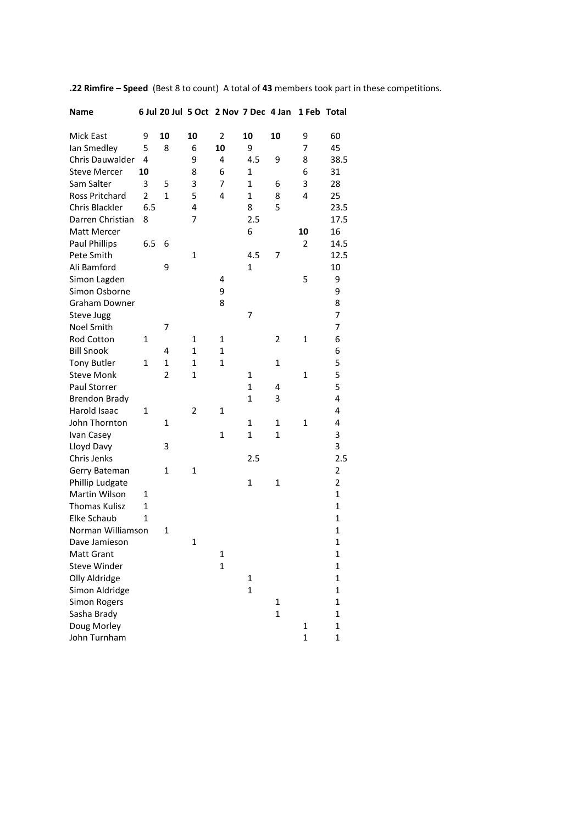| <b>Name</b>           |     |                |                | 6 Jul 20 Jul 5 Oct 2 Nov 7 Dec 4 Jan |              |                | 1 Feb          | <b>Total</b>   |
|-----------------------|-----|----------------|----------------|--------------------------------------|--------------|----------------|----------------|----------------|
| Mick East             | 9   | 10             | 10             | 2                                    | 10           | 10             | 9              | 60             |
| lan Smedley           | 5   | 8              | 6              | 10                                   | 9            |                | 7              | 45             |
| Chris Dauwalder       | 4   |                | 9              | 4                                    | 4.5          | 9              | 8              | 38.5           |
| <b>Steve Mercer</b>   | 10  |                | 8              | 6                                    | 1            |                | 6              | 31             |
| Sam Salter            | 3   | 5              | 3              | 7                                    | $\mathbf{1}$ | 6              | 3              | 28             |
| <b>Ross Pritchard</b> | 2   | $\mathbf{1}$   | 5              | 4                                    | $\mathbf{1}$ | 8              | 4              | 25             |
| Chris Blackler        | 6.5 |                | 4              |                                      | 8            | 5              |                | 23.5           |
| Darren Christian      | 8   |                | 7              |                                      | 2.5          |                |                | 17.5           |
| Matt Mercer           |     |                |                |                                      | 6            |                | 10             | 16             |
| <b>Paul Phillips</b>  | 6.5 | 6              |                |                                      |              |                | $\overline{2}$ | 14.5           |
| Pete Smith            |     |                | $\mathbf{1}$   |                                      | 4.5          | 7              |                | 12.5           |
| Ali Bamford           |     | 9              |                |                                      | 1            |                |                | 10             |
| Simon Lagden          |     |                |                | 4                                    |              |                | 5              | 9              |
| Simon Osborne         |     |                |                | 9                                    |              |                |                | 9              |
| <b>Graham Downer</b>  |     |                |                | 8                                    |              |                |                | 8              |
| Steve Jugg            |     |                |                |                                      | 7            |                |                | 7              |
| Noel Smith            |     | 7              |                |                                      |              |                |                | 7              |
| Rod Cotton            | 1   |                | 1              | 1                                    |              | $\overline{2}$ | 1              | 6              |
| <b>Bill Snook</b>     |     | 4              | 1              | $\mathbf{1}$                         |              |                |                | 6              |
| <b>Tony Butler</b>    | 1   | $\mathbf{1}$   | $\mathbf{1}$   | $\mathbf 1$                          |              | $\mathbf{1}$   |                | 5              |
| <b>Steve Monk</b>     |     | $\overline{2}$ | $\mathbf{1}$   |                                      | 1            |                | 1              | 5              |
| Paul Storrer          |     |                |                |                                      | $\mathbf{1}$ | 4              |                | 5              |
| <b>Brendon Brady</b>  |     |                |                |                                      | $\mathbf{1}$ | 3              |                | 4              |
| Harold Isaac          | 1   |                | $\overline{2}$ | 1                                    |              |                |                | 4              |
| John Thornton         |     | $\mathbf{1}$   |                |                                      | $\mathbf{1}$ | $\mathbf{1}$   | $\mathbf{1}$   | 4              |
| Ivan Casey            |     |                |                | $\mathbf{1}$                         | $\mathbf{1}$ | $\mathbf{1}$   |                | 3              |
| Lloyd Davy            |     | 3              |                |                                      |              |                |                | 3              |
| Chris Jenks           |     |                |                |                                      | 2.5          |                |                | 2.5            |
| Gerry Bateman         |     | 1              | $\mathbf{1}$   |                                      |              |                |                | $\overline{2}$ |
| Phillip Ludgate       |     |                |                |                                      | 1            | $\mathbf 1$    |                | $\overline{2}$ |
| Martin Wilson         | 1   |                |                |                                      |              |                |                | $\mathbf{1}$   |
| <b>Thomas Kulisz</b>  | 1   |                |                |                                      |              |                |                | $\mathbf{1}$   |
| Elke Schaub           | 1   |                |                |                                      |              |                |                | $\mathbf{1}$   |
| Norman Williamson     |     | 1              |                |                                      |              |                |                | $\mathbf{1}$   |
| Dave Jamieson         |     |                | 1              |                                      |              |                |                | $\mathbf 1$    |
| <b>Matt Grant</b>     |     |                |                | 1                                    |              |                |                | 1              |
| <b>Steve Winder</b>   |     |                |                | $\mathbf{1}$                         |              |                |                | $\mathbf{1}$   |
| Olly Aldridge         |     |                |                |                                      | 1            |                |                | $\mathbf{1}$   |
| Simon Aldridge        |     |                |                |                                      | $\mathbf 1$  |                |                | $\mathbf{1}$   |
| <b>Simon Rogers</b>   |     |                |                |                                      |              | 1              |                | $\mathbf{1}$   |
| Sasha Brady           |     |                |                |                                      |              | $\mathbf{1}$   |                | $\mathbf{1}$   |
| Doug Morley           |     |                |                |                                      |              |                | 1              | $\mathbf{1}$   |
| John Turnham          |     |                |                |                                      |              |                | $\mathbf{1}$   | $\mathbf 1$    |

**.22 Rimfire – Speed** (Best 8 to count) A total of **43** members took part in these competitions.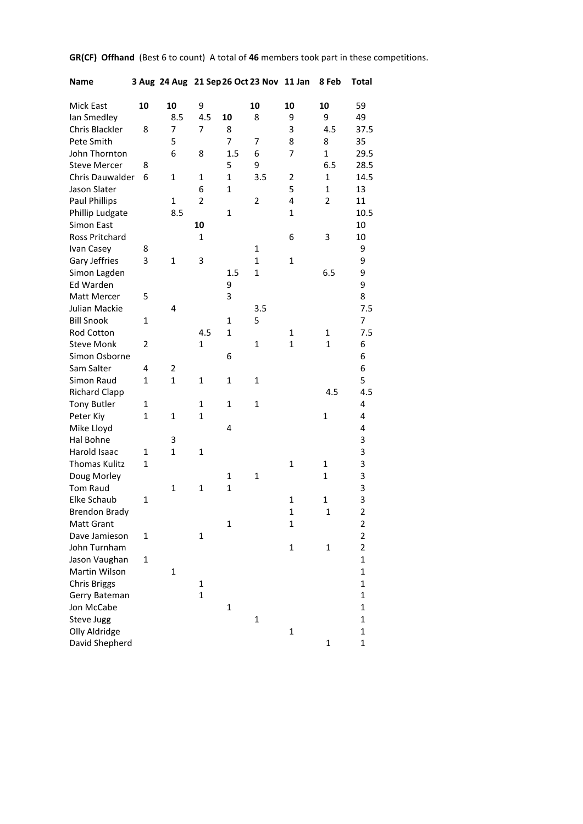|  |  | GR(CF) Offhand (Best 6 to count) A total of 46 members took part in these competitions. |  |  |
|--|--|-----------------------------------------------------------------------------------------|--|--|
|--|--|-----------------------------------------------------------------------------------------|--|--|

| Name                  |              |              |                |              | 3 Aug 24 Aug 21 Sep 26 Oct 23 Nov 11 Jan |                         | 8 Feb          | Total                   |
|-----------------------|--------------|--------------|----------------|--------------|------------------------------------------|-------------------------|----------------|-------------------------|
| Mick East             | 10           | 10           | 9              |              | 10                                       | 10                      | 10             | 59                      |
| lan Smedley           |              | 8.5          | 4.5            | 10           | 8                                        | 9                       | 9              | 49                      |
| Chris Blackler        | 8            | 7            | 7              | 8            |                                          | 3                       | 4.5            | 37.5                    |
| Pete Smith            |              | 5            |                | 7            | 7                                        | 8                       | 8              | 35                      |
| John Thornton         |              | 6            | 8              | 1.5          | 6                                        | 7                       | $\mathbf{1}$   | 29.5                    |
| <b>Steve Mercer</b>   | 8            |              |                | 5            | 9                                        |                         | 6.5            | 28.5                    |
| Chris Dauwalder       | 6            | 1            | $\mathbf{1}$   | $\mathbf{1}$ | 3.5                                      | $\overline{\mathbf{c}}$ | $\mathbf{1}$   | 14.5                    |
| Jason Slater          |              |              | 6              | $\mathbf{1}$ |                                          | 5                       | $\mathbf{1}$   | 13                      |
| <b>Paul Phillips</b>  |              | $\mathbf{1}$ | $\overline{2}$ |              | $\overline{2}$                           | 4                       | $\overline{2}$ | 11                      |
| Phillip Ludgate       |              | 8.5          |                | $\mathbf{1}$ |                                          | $\mathbf{1}$            |                | 10.5                    |
| Simon East            |              |              | 10             |              |                                          |                         |                | 10                      |
| <b>Ross Pritchard</b> |              |              | $\mathbf{1}$   |              |                                          | 6                       | 3              | 10                      |
| Ivan Casey            | 8            |              |                |              | $\mathbf{1}$                             |                         |                | 9                       |
| Gary Jeffries         | 3            | $\mathbf{1}$ | 3              |              | $\mathbf{1}$                             | $\mathbf{1}$            |                | 9                       |
| Simon Lagden          |              |              |                | 1.5          | $\mathbf{1}$                             |                         | 6.5            | 9                       |
| Ed Warden             |              |              |                | 9            |                                          |                         |                | 9                       |
| Matt Mercer           | 5            |              |                | 3            |                                          |                         |                | 8                       |
| Julian Mackie         |              | 4            |                |              | 3.5                                      |                         |                | 7.5                     |
| <b>Bill Snook</b>     | 1            |              |                | $\mathbf{1}$ | 5                                        |                         |                | 7                       |
| Rod Cotton            |              |              | 4.5            | $\mathbf{1}$ |                                          | 1                       | 1              | 7.5                     |
| <b>Steve Monk</b>     | 2            |              | $\mathbf{1}$   |              | $\mathbf{1}$                             | $\mathbf{1}$            | $\mathbf{1}$   | 6                       |
| Simon Osborne         |              |              |                | 6            |                                          |                         |                | 6                       |
| Sam Salter            | 4            | 2            |                |              |                                          |                         |                | 6                       |
| Simon Raud            | 1            | $\mathbf{1}$ | $\mathbf{1}$   | 1            | $\mathbf{1}$                             |                         |                | 5                       |
| <b>Richard Clapp</b>  |              |              |                |              |                                          |                         | 4.5            | 4.5                     |
| <b>Tony Butler</b>    | 1            |              | $\mathbf{1}$   | $\mathbf{1}$ | $\mathbf{1}$                             |                         |                | 4                       |
| Peter Kiy             | $\mathbf{1}$ | $\mathbf{1}$ | $\mathbf{1}$   |              |                                          |                         | $\mathbf{1}$   | 4                       |
| Mike Lloyd            |              |              |                | 4            |                                          |                         |                | 4                       |
| Hal Bohne             |              | 3            |                |              |                                          |                         |                | 3                       |
| Harold Isaac          | 1            | $\mathbf{1}$ | $\mathbf{1}$   |              |                                          |                         |                | 3                       |
| <b>Thomas Kulitz</b>  | 1            |              |                |              |                                          | 1                       | 1              | 3                       |
| Doug Morley           |              |              |                | 1            | 1                                        |                         | $\mathbf{1}$   | 3                       |
| <b>Tom Raud</b>       |              | $\mathbf{1}$ | $\mathbf{1}$   | $\mathbf{1}$ |                                          |                         |                | 3                       |
| Elke Schaub           | 1            |              |                |              |                                          | 1                       | $\mathbf{1}$   | 3                       |
| <b>Brendon Brady</b>  |              |              |                |              |                                          | $\mathbf 1$             | $\mathbf 1$    | $\overline{\mathbf{c}}$ |
| Matt Grant            |              |              |                | 1            |                                          | 1                       |                | 2                       |
| Dave Jamieson         | 1            |              | 1              |              |                                          |                         |                | $\overline{2}$          |
| John Turnham          |              |              |                |              |                                          | $\mathbf 1$             | $\mathbf{1}$   | $\overline{2}$          |
| Jason Vaughan         | 1            |              |                |              |                                          |                         |                | 1                       |
| Martin Wilson         |              | $\mathbf{1}$ |                |              |                                          |                         |                | $\mathbf 1$             |
| <b>Chris Briggs</b>   |              |              | $\mathbf{1}$   |              |                                          |                         |                | $\mathbf 1$             |
| Gerry Bateman         |              |              | $\mathbf{1}$   |              |                                          |                         |                | $\mathbf 1$             |
| Jon McCabe            |              |              |                | $\mathbf{1}$ |                                          |                         |                | 1                       |
| Steve Jugg            |              |              |                |              | 1                                        |                         |                | 1                       |
| Olly Aldridge         |              |              |                |              |                                          | 1                       |                | $\mathbf 1$             |
| David Shepherd        |              |              |                |              |                                          |                         | 1              | $\mathbf 1$             |
|                       |              |              |                |              |                                          |                         |                |                         |